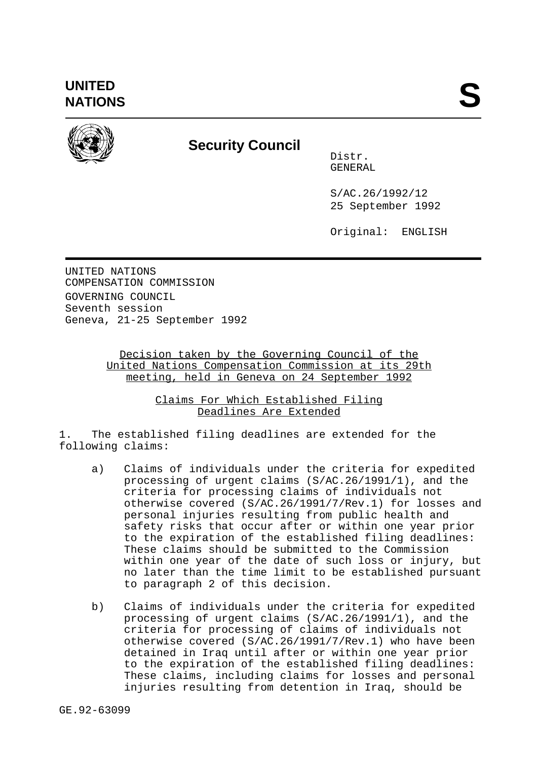

## **Security Council**

Distr. GENERAL

S/AC.26/1992/12 25 September 1992

Original: ENGLISH

UNITED NATIONS COMPENSATION COMMISSION GOVERNING COUNCIL Seventh session Geneva, 21-25 September 1992

## Decision taken by the Governing Council of the United Nations Compensation Commission at its 29th meeting, held in Geneva on 24 September 1992

Claims For Which Established Filing Deadlines Are Extended

1. The established filing deadlines are extended for the following claims:

- a) Claims of individuals under the criteria for expedited processing of urgent claims (S/AC.26/1991/1), and the criteria for processing claims of individuals not otherwise covered (S/AC.26/1991/7/Rev.1) for losses and personal injuries resulting from public health and safety risks that occur after or within one year prior to the expiration of the established filing deadlines: These claims should be submitted to the Commission within one year of the date of such loss or injury, but no later than the time limit to be established pursuant to paragraph 2 of this decision.
- b) Claims of individuals under the criteria for expedited processing of urgent claims (S/AC.26/1991/1), and the criteria for processing of claims of individuals not otherwise covered (S/AC.26/1991/7/Rev.1) who have been detained in Iraq until after or within one year prior to the expiration of the established filing deadlines: These claims, including claims for losses and personal injuries resulting from detention in Iraq, should be

GE.92-63099